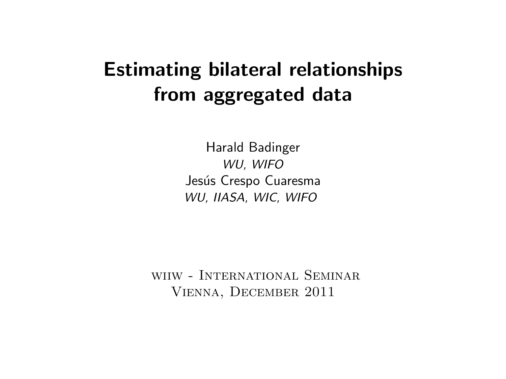# Estimating bilateral relationships from aggregated data

Harald Badinger WU, WIFO Jesús Crespo Cuaresma WU, IIASA, WIC, WIFO

wiiw - International Seminar Vienna, December 2011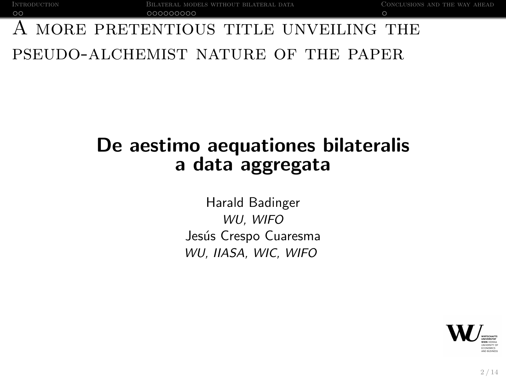## [A](#page-3-0) more pret[e](#page-4-0)[n](#page-5-0)[t](#page-8-0)[i](#page-9-0)[o](#page-11-0)[u](#page-12-0)s title unveiling [t](#page-13-0)he pseudo-alchemist nature of the paper

# De aestimo aequationes bilateralis a data aggregata

Harald Badinger WU, WIFO Jesús Crespo Cuaresma WU, IIASA, WIC, WIFO

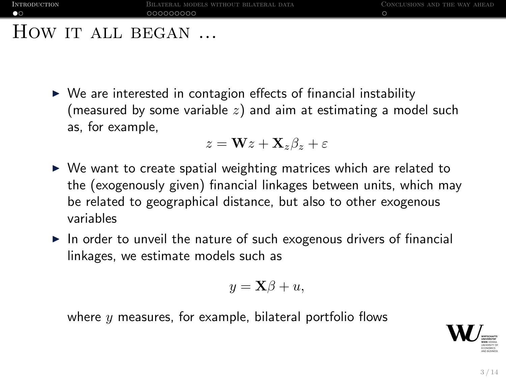#### HOW IT ALL BEGAN ...

 $\triangleright$  We are interested in contagion effects of financial instability (measured by some variable  $z$ ) and aim at estimating a model such as, for example,

$$
z = \mathbf{W}z + \mathbf{X}_z\beta_z + \varepsilon
$$

- $\triangleright$  We want to create spatial weighting matrices which are related to the (exogenously given) financial linkages between units, which may be related to geographical distance, but also to other exogenous variables
- $\triangleright$  In order to unveil the nature of such exogenous drivers of financial linkages, we estimate models such as

$$
y = \mathbf{X}\beta + u,
$$

where  $y$  measures, for example, bilateral portfolio flows

<span id="page-2-0"></span>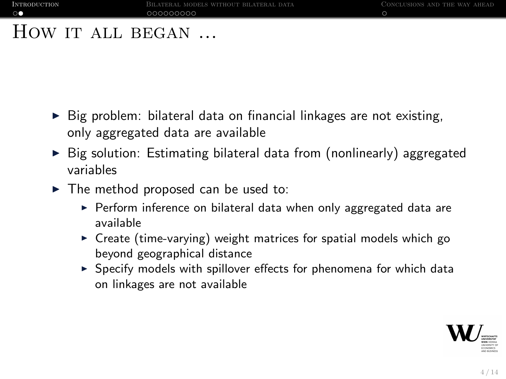#### HOW IT ALL BEGAN ...

- $\triangleright$  Big problem: bilateral data on financial linkages are not existing, only aggregated data are available
- $\triangleright$  Big solution: Estimating bilateral data from (nonlinearly) aggregated variables
- $\blacktriangleright$  The method proposed can be used to:
	- $\triangleright$  Perform inference on bilateral data when only aggregated data are available
	- $\triangleright$  Create (time-varying) weight matrices for spatial models which go beyond geographical distance
	- $\triangleright$  Specify models with spillover effects for phenomena for which data on linkages are not available

<span id="page-3-0"></span>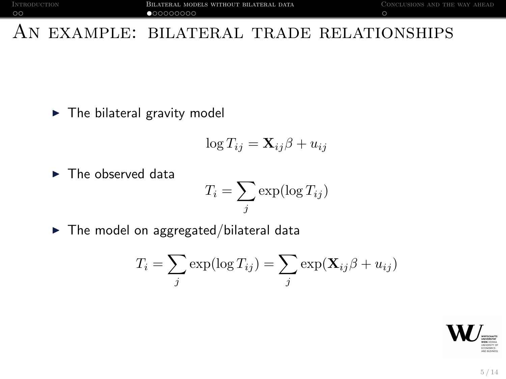#### An example: bilateral trade relationships

 $\blacktriangleright$  The bilateral gravity model

$$
\log T_{ij} = \mathbf{X}_{ij}\boldsymbol{\beta} + u_{ij}
$$

 $\blacktriangleright$  The observed data

$$
T_i = \sum_j \exp(\log T_{ij})
$$

 $\blacktriangleright$  The model on aggregated/bilateral data

$$
T_i = \sum_j \exp(\log T_{ij}) = \sum_j \exp(\mathbf{X}_{ij}\beta + u_{ij})
$$

<span id="page-4-0"></span>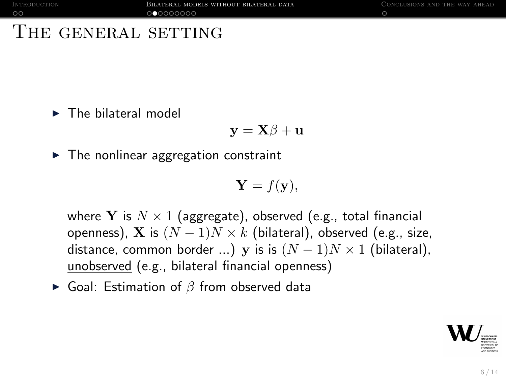#### THE GENERAL SETTING

 $\blacktriangleright$  The bilateral model

$$
\mathbf{y} = \mathbf{X}\boldsymbol{\beta} + \mathbf{u}
$$

 $\blacktriangleright$  The nonlinear aggregation constraint

$$
\mathbf{Y} = f(\mathbf{y}),
$$

where Y is  $N \times 1$  (aggregate), observed (e.g., total financial openness), X is  $(N-1)N \times k$  (bilateral), observed (e.g., size, distance, common border ...) y is is  $(N-1)N \times 1$  (bilateral), unobserved (e.g., bilateral financial openness)

 $\triangleright$  Goal: Estimation of  $\beta$  from observed data

<span id="page-5-0"></span>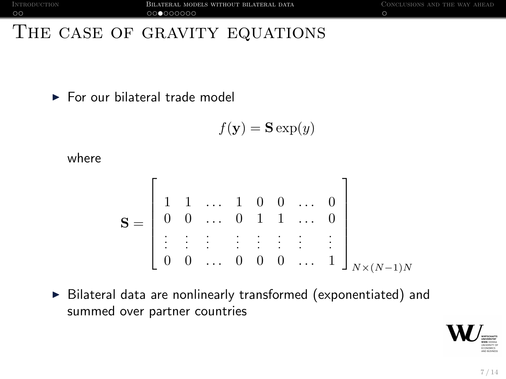### THE CASE OF GRAVITY EQUATIONS

 $\blacktriangleright$  For our bilateral trade model

<span id="page-6-0"></span>
$$
f(\mathbf{y}) = \mathbf{S} \exp(y)
$$

where

$$
\mathbf{S} = \begin{bmatrix} 1 & 1 & \dots & 1 & 0 & 0 & \dots & 0 \\ 0 & 0 & \dots & 0 & 1 & 1 & \dots & 0 \\ \vdots & \vdots & \vdots & \vdots & \vdots & \vdots & \vdots & \vdots \\ 0 & 0 & \dots & 0 & 0 & 0 & \dots & 1 \end{bmatrix}_{N \times (N-1)N}
$$

 $\triangleright$  Bilateral data are nonlinearly transformed (exponentiated) and summed over partner countries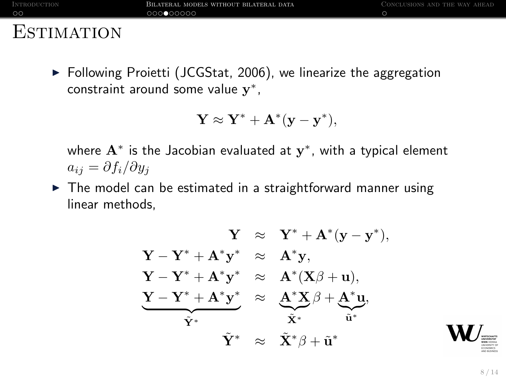INTRODUCTION **BILATERAL MODELS WITHOUT BILATERAL DATA** CONCLUSIONS AND THE WAY AHEAD  $0000000000$ 

 $\circ$ 

#### **ESTIMATION**

 $\triangleright$  Following Proietti (JCGStat, 2006), we linearize the aggregation constraint around some value  $y^*$ ,

$$
\mathbf{Y} \approx \mathbf{Y}^* + \mathbf{A}^*(\mathbf{y} - \mathbf{y}^*),
$$

where  $\mathbf{A}^{*}$  is the Jacobian evaluated at  $\mathbf{y}^{*}$ , with a typical element  $a_{ij} = \partial f_i / \partial y_j$ 

 $\triangleright$  The model can be estimated in a straightforward manner using linear methods,

$$
\begin{array}{rcl} Y & \approx & Y^* + A^*(y-y^*), \\ Y-Y^* + A^*y^* & \approx & A^*y, \\ Y-Y^* + A^*y^* & \approx & A^*(X\beta+u), \\ \underbrace{Y-Y^* + A^*y^*}_{\tilde{Y}^*} & \approx & \underbrace{A^*X}_{{\tilde{X}^*}}\beta + \underbrace{A^*u}_{{\tilde{u}^*}}, \\ \tilde{Y}^* & \approx & \tilde{X}^*\beta + \tilde{u}^* \end{array}
$$

<span id="page-7-0"></span>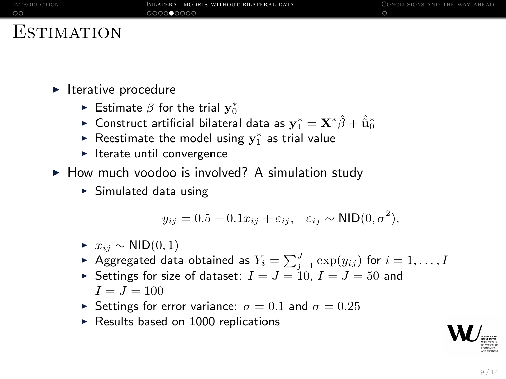#### **ESTIMATION**

 $\blacktriangleright$  Iterative procedure

- $\blacktriangleright$  Estimate  $\beta$  for the trial  $\mathbf{y}_0^*$
- ► Construct artificial bilateral data as  $\mathbf{y}_1^* = \mathbf{X}^* \hat{\beta} + \hat{\tilde{\mathbf{u}}}_0^*$
- ► Reestimate the model using  $y_1^*$  as trial value
- $\blacktriangleright$  Iterate until convergence
- $\blacktriangleright$  How much voodoo is involved? A simulation study
	- $\triangleright$  Simulated data using

$$
y_{ij} = 0.5 + 0.1x_{ij} + \varepsilon_{ij}, \quad \varepsilon_{ij} \sim \text{NID}(0, \sigma^2),
$$

- $\triangleright$   $x_{ij} \sim \text{NID}(0, 1)$
- $\blacktriangleright$  Aggregated data obtained as  $Y_i = \sum_{j=1}^J \exp(y_{ij})$  for  $i=1,\ldots, I$
- Settings for size of dataset:  $I = J = 10$ ,  $I = J = 50$  and  $I = J = 100$
- Settings for error variance:  $\sigma = 0.1$  and  $\sigma = 0.25$
- $\blacktriangleright$  Results based on 1000 replications

<span id="page-8-0"></span>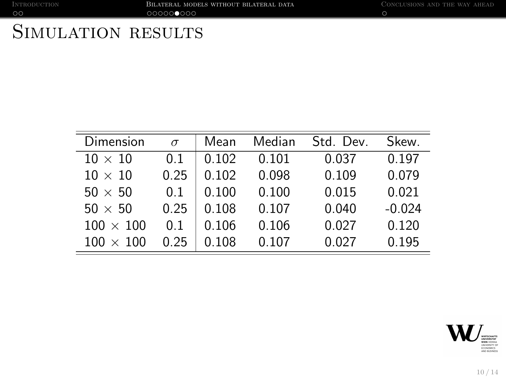INTRODUCTION BILATERAL MODELS WITHOUT BILATERAL DATA CONCLUSIONS AND THE WAY AHEAD OOD OOD OOD OOOD COOOD OOD O

 $\circ$ 

# SIMULATION RESULTS

| Dimension        | $\sigma$ | Mean  | Median | Std. Dev. | Skew.    |
|------------------|----------|-------|--------|-----------|----------|
| $10 \times 10$   | 0.1      | 0.102 | 0.101  | 0.037     | 0.197    |
| $10 \times 10$   | 0.25     | 0.102 | 0.098  | 0.109     | 0.079    |
| $50 \times 50$   | 0.1      | 0.100 | 0.100  | 0.015     | 0.021    |
| $50 \times 50$   | 0.25     | 0.108 | 0.107  | 0.040     | $-0.024$ |
| $100 \times 100$ | 0.1      | 0.106 | 0.106  | 0.027     | 0.120    |
| $100 \times 100$ | 0.25     | 0.108 | 0.107  | 0.027     | 0.195    |

<span id="page-9-0"></span>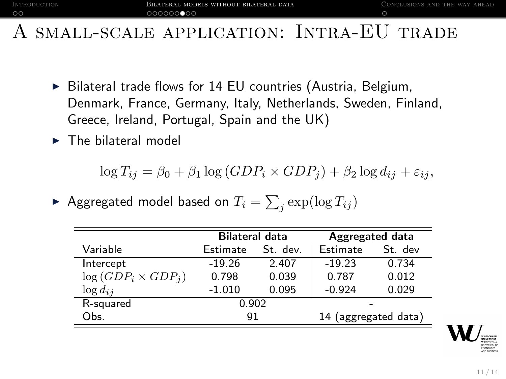#### SMALL-SCALE APPLICATION: INTRA-EU TRADE

- $\triangleright$  Bilateral trade flows for 14 EU countries (Austria, Belgium, Denmark, France, Germany, Italy, Netherlands, Sweden, Finland, Greece, Ireland, Portugal, Spain and the UK)
- $\blacktriangleright$  The bilateral model

 $\log T_{ij} = \beta_0 + \beta_1 \log (GDP_i \times GDP_i) + \beta_2 \log d_{ij} + \varepsilon_{ij},$ 

 $\blacktriangleright$  Aggregated model based on  $T_i = \sum_j \exp(\log T_{ij})$ 

<span id="page-10-0"></span>

|                           | <b>Bilateral data</b> |          | Aggregated data |                      |  |
|---------------------------|-----------------------|----------|-----------------|----------------------|--|
| Variable                  | Estimate              | St. dev. | Estimate        | St. dev              |  |
| Intercept                 | $-19.26$              | 2.407    | $-19.23$        | 0.734                |  |
| $log(GDP_i \times GDP_i)$ | 0.798                 | 0.039    | 0.787           | 0.012                |  |
| $\log d_{ij}$             | $-1.010$              | 0.095    | $-0.924$        | 0.029                |  |
| R-squared                 | 0.902                 |          |                 |                      |  |
| Obs.                      | 91                    |          |                 | 14 (aggregated data) |  |
|                           |                       |          |                 |                      |  |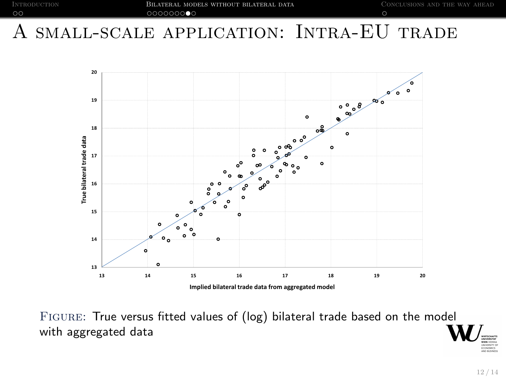<span id="page-11-0"></span>

### A small-scale application: Intra-EU trade



Figure: True versus fitted values of (log) bilateral trade based on the model with aggregated data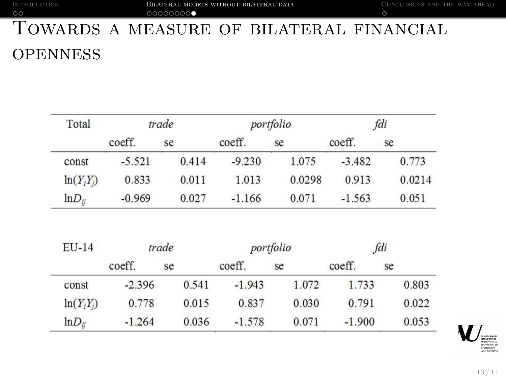# **[T](#page-3-0)OWARDS A MEASURE OF BILATERAL FINANCIAL OPENNESS**

| Total                         |          | trade | portfolio |           |          | fdi    |
|-------------------------------|----------|-------|-----------|-----------|----------|--------|
|                               | coeff.   | se    | coeff.    | se        | coeff.   | se     |
| const                         | $-5.521$ | 0.414 | $-9.230$  | 1.075     | $-3.482$ | 0.773  |
| $\ln(Y_iY_j)$                 | 0.833    | 0.011 | 1.013     | 0.0298    | 0.913    | 0.0214 |
| $lnD_{ij}$                    | $-0.969$ | 0.027 | $-1.166$  | 0.071     | $-1.563$ | 0.051  |
|                               |          |       |           |           |          |        |
|                               |          | trade |           | portfolio |          | fdi    |
|                               | coeff.   | se    | coeff.    | se        | coeff.   | se     |
| const                         | $-2.396$ | 0.541 | $-1.943$  | 1.072     | 1.733    | 0.803  |
| <b>EU-14</b><br>$\ln(Y_iY_j)$ | 0.778    | 0.015 | 0.837     | 0.030     | 0.791    | 0.022  |

<span id="page-12-0"></span>